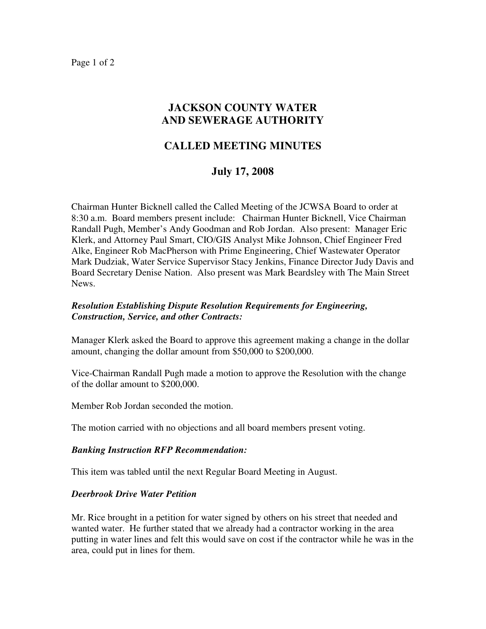Page 1 of 2

## **JACKSON COUNTY WATER AND SEWERAGE AUTHORITY**

# **CALLED MEETING MINUTES**

### **July 17, 2008**

Chairman Hunter Bicknell called the Called Meeting of the JCWSA Board to order at 8:30 a.m. Board members present include: Chairman Hunter Bicknell, Vice Chairman Randall Pugh, Member's Andy Goodman and Rob Jordan. Also present: Manager Eric Klerk, and Attorney Paul Smart, CIO/GIS Analyst Mike Johnson, Chief Engineer Fred Alke, Engineer Rob MacPherson with Prime Engineering, Chief Wastewater Operator Mark Dudziak, Water Service Supervisor Stacy Jenkins, Finance Director Judy Davis and Board Secretary Denise Nation. Also present was Mark Beardsley with The Main Street News.

#### *Resolution Establishing Dispute Resolution Requirements for Engineering, Construction, Service, and other Contracts:*

Manager Klerk asked the Board to approve this agreement making a change in the dollar amount, changing the dollar amount from \$50,000 to \$200,000.

Vice-Chairman Randall Pugh made a motion to approve the Resolution with the change of the dollar amount to \$200,000.

Member Rob Jordan seconded the motion.

The motion carried with no objections and all board members present voting.

#### *Banking Instruction RFP Recommendation:*

This item was tabled until the next Regular Board Meeting in August.

#### *Deerbrook Drive Water Petition*

Mr. Rice brought in a petition for water signed by others on his street that needed and wanted water. He further stated that we already had a contractor working in the area putting in water lines and felt this would save on cost if the contractor while he was in the area, could put in lines for them.